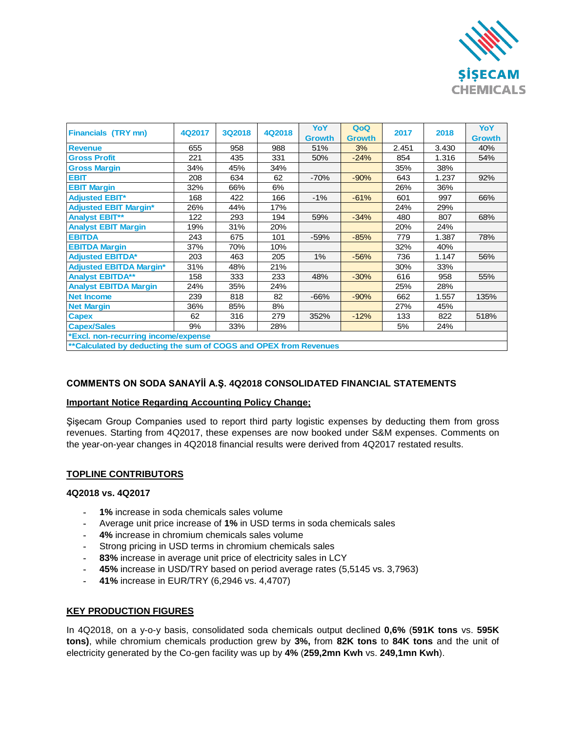

| <b>Financials (TRY mn)</b>                                       | 4Q2017 | <b>3Q2018</b> | 4Q2018 | YoY           | QoQ           | 2017  | 2018  | YoY           |
|------------------------------------------------------------------|--------|---------------|--------|---------------|---------------|-------|-------|---------------|
|                                                                  |        |               |        | <b>Growth</b> | <b>Growth</b> |       |       | <b>Growth</b> |
| <b>Revenue</b>                                                   | 655    | 958           | 988    | 51%           | 3%            | 2.451 | 3.430 | 40%           |
| <b>Gross Profit</b>                                              | 221    | 435           | 331    | 50%           | $-24%$        | 854   | 1.316 | 54%           |
| <b>Gross Margin</b>                                              | 34%    | 45%           | 34%    |               |               | 35%   | 38%   |               |
| <b>EBIT</b>                                                      | 208    | 634           | 62     | $-70%$        | $-90%$        | 643   | 1.237 | 92%           |
| <b>EBIT Margin</b>                                               | 32%    | 66%           | 6%     |               |               | 26%   | 36%   |               |
| <b>Adjusted EBIT*</b>                                            | 168    | 422           | 166    | $-1%$         | $-61%$        | 601   | 997   | 66%           |
| <b>Adjusted EBIT Margin*</b>                                     | 26%    | 44%           | 17%    |               |               | 24%   | 29%   |               |
| <b>Analyst EBIT**</b>                                            | 122    | 293           | 194    | 59%           | $-34%$        | 480   | 807   | 68%           |
| <b>Analyst EBIT Margin</b>                                       | 19%    | 31%           | 20%    |               |               | 20%   | 24%   |               |
| <b>EBITDA</b>                                                    | 243    | 675           | 101    | $-59%$        | $-85%$        | 779   | 1.387 | 78%           |
| <b>EBITDA Margin</b>                                             | 37%    | 70%           | 10%    |               |               | 32%   | 40%   |               |
| <b>Adjusted EBITDA*</b>                                          | 203    | 463           | 205    | $1\%$         | $-56%$        | 736   | 1.147 | 56%           |
| <b>Adjusted EBITDA Margin*</b>                                   | 31%    | 48%           | 21%    |               |               | 30%   | 33%   |               |
| <b>Analyst EBITDA**</b>                                          | 158    | 333           | 233    | 48%           | $-30%$        | 616   | 958   | 55%           |
| <b>Analyst EBITDA Margin</b>                                     | 24%    | 35%           | 24%    |               |               | 25%   | 28%   |               |
| <b>Net Income</b>                                                | 239    | 818           | 82     | $-66%$        | $-90%$        | 662   | 1.557 | 135%          |
| <b>Net Margin</b>                                                | 36%    | 85%           | 8%     |               |               | 27%   | 45%   |               |
| <b>Capex</b>                                                     | 62     | 316           | 279    | 352%          | $-12%$        | 133   | 822   | 518%          |
| <b>Capex/Sales</b>                                               | 9%     | 33%           | 28%    |               |               | 5%    | 24%   |               |
| *Excl. non-recurring income/expense                              |        |               |        |               |               |       |       |               |
| **Calculated by deducting the sum of COGS and OPEX from Revenues |        |               |        |               |               |       |       |               |

## **COMMENTS ON SODA SANAYİİ A.Ş. 4Q2018 CONSOLIDATED FINANCIAL STATEMENTS**

#### **Important Notice Regarding Accounting Policy Change;**

Şişecam Group Companies used to report third party logistic expenses by deducting them from gross revenues. Starting from 4Q2017, these expenses are now booked under S&M expenses. Comments on the year-on-year changes in 4Q2018 financial results were derived from 4Q2017 restated results.

## **TOPLINE CONTRIBUTORS**

### **4Q2018 vs. 4Q2017**

- **- 1%** increase in soda chemicals sales volume
- **-** Average unit price increase of **1%** in USD terms in soda chemicals sales
- **- 4%** increase in chromium chemicals sales volume
- **-** Strong pricing in USD terms in chromium chemicals sales
- **- 83%** increase in average unit price of electricity sales in LCY
- **- 45%** increase in USD/TRY based on period average rates (5,5145 vs. 3,7963)
- **- 41%** increase in EUR/TRY (6,2946 vs. 4,4707)

#### **KEY PRODUCTION FIGURES**

In 4Q2018, on a y-o-y basis, consolidated soda chemicals output declined **0,6%** (**591K tons** vs. **595K tons)**, while chromium chemicals production grew by **3%,** from **82K tons** to **84K tons** and the unit of electricity generated by the Co-gen facility was up by **4%** (**259,2mn Kwh** vs. **249,1mn Kwh**).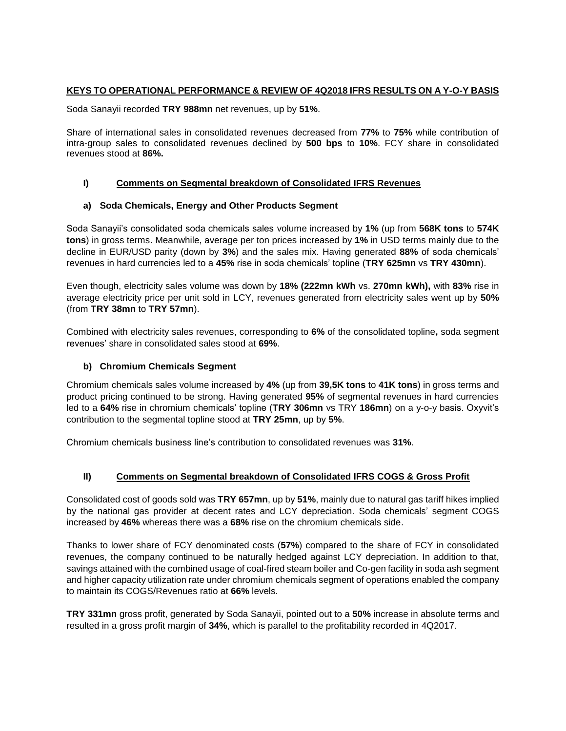## **KEYS TO OPERATIONAL PERFORMANCE & REVIEW OF 4Q2018 IFRS RESULTS ON A Y-O-Y BASIS**

Soda Sanayii recorded **TRY 988mn** net revenues, up by **51%**.

Share of international sales in consolidated revenues decreased from **77%** to **75%** while contribution of intra-group sales to consolidated revenues declined by **500 bps** to **10%**. FCY share in consolidated revenues stood at **86%.**

## **I) Comments on Segmental breakdown of Consolidated IFRS Revenues**

## **a) Soda Chemicals, Energy and Other Products Segment**

Soda Sanayii's consolidated soda chemicals sales volume increased by **1%** (up from **568K tons** to **574K tons**) in gross terms. Meanwhile, average per ton prices increased by **1%** in USD terms mainly due to the decline in EUR/USD parity (down by **3%**) and the sales mix. Having generated **88%** of soda chemicals' revenues in hard currencies led to a **45%** rise in soda chemicals' topline (**TRY 625mn** vs **TRY 430mn**).

Even though, electricity sales volume was down by **18% (222mn kWh** vs. **270mn kWh),** with **83%** rise in average electricity price per unit sold in LCY, revenues generated from electricity sales went up by **50%** (from **TRY 38mn** to **TRY 57mn**).

Combined with electricity sales revenues, corresponding to **6%** of the consolidated topline**,** soda segment revenues' share in consolidated sales stood at **69%**.

## **b) Chromium Chemicals Segment**

Chromium chemicals sales volume increased by **4%** (up from **39,5K tons** to **41K tons**) in gross terms and product pricing continued to be strong. Having generated **95%** of segmental revenues in hard currencies led to a **64%** rise in chromium chemicals' topline (**TRY 306mn** vs TRY **186mn**) on a y-o-y basis. Oxyvit's contribution to the segmental topline stood at **TRY 25mn**, up by **5%**.

Chromium chemicals business line's contribution to consolidated revenues was **31%**.

## **II) Comments on Segmental breakdown of Consolidated IFRS COGS & Gross Profit**

Consolidated cost of goods sold was **TRY 657mn**, up by **51%**, mainly due to natural gas tariff hikes implied by the national gas provider at decent rates and LCY depreciation. Soda chemicals' segment COGS increased by **46%** whereas there was a **68%** rise on the chromium chemicals side.

Thanks to lower share of FCY denominated costs (**57%**) compared to the share of FCY in consolidated revenues, the company continued to be naturally hedged against LCY depreciation. In addition to that, savings attained with the combined usage of coal-fired steam boiler and Co-gen facility in soda ash segment and higher capacity utilization rate under chromium chemicals segment of operations enabled the company to maintain its COGS/Revenues ratio at **66%** levels.

**TRY 331mn** gross profit, generated by Soda Sanayii, pointed out to a **50%** increase in absolute terms and resulted in a gross profit margin of **34%**, which is parallel to the profitability recorded in 4Q2017.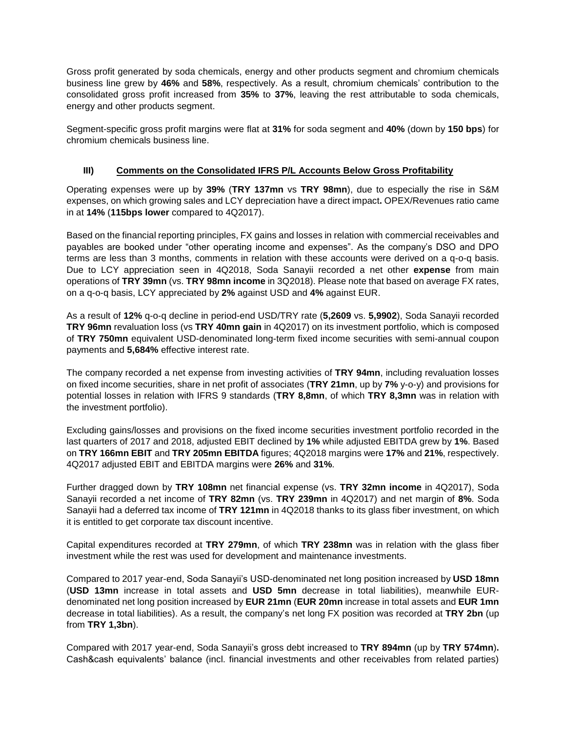Gross profit generated by soda chemicals, energy and other products segment and chromium chemicals business line grew by **46%** and **58%**, respectively. As a result, chromium chemicals' contribution to the consolidated gross profit increased from **35%** to **37%**, leaving the rest attributable to soda chemicals, energy and other products segment.

Segment-specific gross profit margins were flat at **31%** for soda segment and **40%** (down by **150 bps**) for chromium chemicals business line.

# **III) Comments on the Consolidated IFRS P/L Accounts Below Gross Profitability**

Operating expenses were up by **39%** (**TRY 137mn** vs **TRY 98mn**), due to especially the rise in S&M expenses, on which growing sales and LCY depreciation have a direct impact**.** OPEX/Revenues ratio came in at **14%** (**115bps lower** compared to 4Q2017).

Based on the financial reporting principles, FX gains and losses in relation with commercial receivables and payables are booked under "other operating income and expenses". As the company's DSO and DPO terms are less than 3 months, comments in relation with these accounts were derived on a q-o-q basis. Due to LCY appreciation seen in 4Q2018, Soda Sanayii recorded a net other **expense** from main operations of **TRY 39mn** (vs. **TRY 98mn income** in 3Q2018). Please note that based on average FX rates, on a q-o-q basis, LCY appreciated by **2%** against USD and **4%** against EUR.

As a result of **12%** q-o-q decline in period-end USD/TRY rate (**5,2609** vs. **5,9902**), Soda Sanayii recorded **TRY 96mn** revaluation loss (vs **TRY 40mn gain** in 4Q2017) on its investment portfolio, which is composed of **TRY 750mn** equivalent USD-denominated long-term fixed income securities with semi-annual coupon payments and **5,684%** effective interest rate.

The company recorded a net expense from investing activities of **TRY 94mn**, including revaluation losses on fixed income securities, share in net profit of associates (**TRY 21mn**, up by **7%** y-o-y) and provisions for potential losses in relation with IFRS 9 standards (**TRY 8,8mn**, of which **TRY 8,3mn** was in relation with the investment portfolio).

Excluding gains/losses and provisions on the fixed income securities investment portfolio recorded in the last quarters of 2017 and 2018, adjusted EBIT declined by **1%** while adjusted EBITDA grew by **1%**. Based on **TRY 166mn EBIT** and **TRY 205mn EBITDA** figures; 4Q2018 margins were **17%** and **21%**, respectively. 4Q2017 adjusted EBIT and EBITDA margins were **26%** and **31%**.

Further dragged down by **TRY 108mn** net financial expense (vs. **TRY 32mn income** in 4Q2017), Soda Sanayii recorded a net income of **TRY 82mn** (vs. **TRY 239mn** in 4Q2017) and net margin of **8%**. Soda Sanayii had a deferred tax income of **TRY 121mn** in 4Q2018 thanks to its glass fiber investment, on which it is entitled to get corporate tax discount incentive.

Capital expenditures recorded at **TRY 279mn**, of which **TRY 238mn** was in relation with the glass fiber investment while the rest was used for development and maintenance investments.

Compared to 2017 year-end, Soda Sanayii's USD-denominated net long position increased by **USD 18mn** (**USD 13mn** increase in total assets and **USD 5mn** decrease in total liabilities), meanwhile EURdenominated net long position increased by **EUR 21mn** (**EUR 20mn** increase in total assets and **EUR 1mn** decrease in total liabilities). As a result, the company's net long FX position was recorded at **TRY 2bn** (up from **TRY 1,3bn**).

Compared with 2017 year-end, Soda Sanayii's gross debt increased to **TRY 894mn** (up by **TRY 574mn**)**.**  Cash&cash equivalents' balance (incl. financial investments and other receivables from related parties)